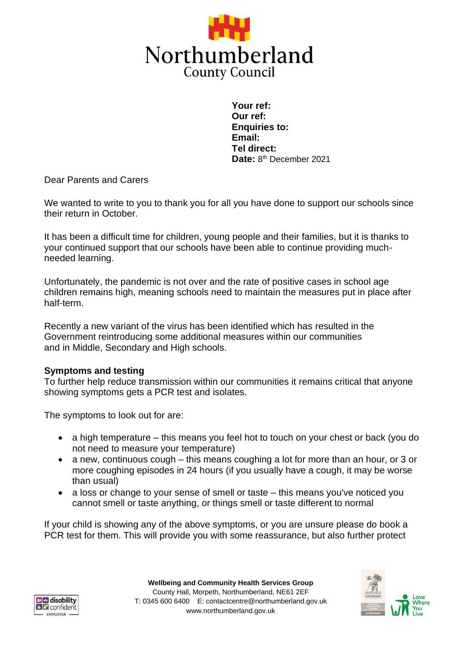

**Your ref: Our ref: Enquiries to: Email: Tel direct:**  Date: 8<sup>th</sup> December 2021

Dear Parents and Carers

We wanted to write to you to thank you for all you have done to support our schools since their return in October.

It has been a difficult time for children, young people and their families, but it is thanks to your continued support that our schools have been able to continue providing muchneeded learning.

Unfortunately, the pandemic is not over and the rate of positive cases in school age children remains high, meaning schools need to maintain the measures put in place after half-term.

Recently a new variant of the virus has been identified which has resulted in the Government reintroducing some additional measures within our communities and in Middle, Secondary and High schools.

## **Symptoms and testing**

To further help reduce transmission within our communities it remains critical that anyone showing symptoms gets a PCR test and isolates.

The symptoms to look out for are:

- a high temperature this means you feel hot to touch on your chest or back (you do not need to measure your temperature)
- a new, continuous cough this means coughing a lot for more than an hour, or 3 or more coughing episodes in 24 hours (if you usually have a cough, it may be worse than usual)
- a loss or change to your sense of smell or taste this means you've noticed you cannot smell or taste anything, or things smell or taste different to normal

If your child is showing any of the above symptoms, or you are unsure please do book a PCR test for them. This will provide you with some reassurance, but also further protect